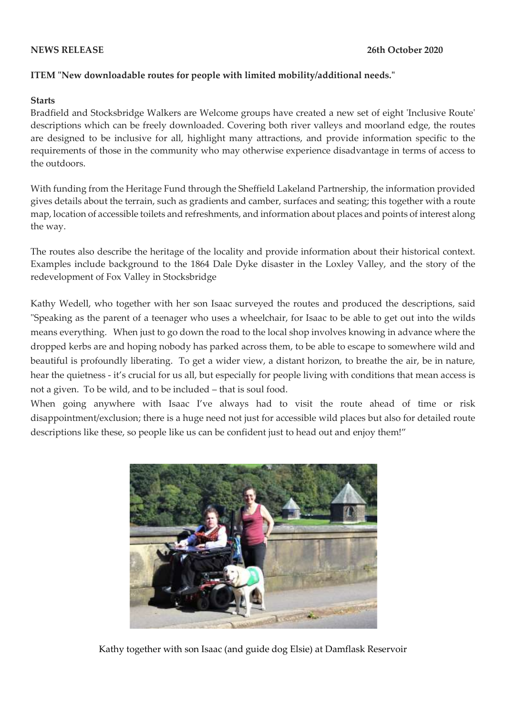## **ITEM "New downloadable routes for people with limited mobility/additional needs."**

## **Starts**

Bradfield and Stocksbridge Walkers are Welcome groups have created a new set of eight 'Inclusive Route' descriptions which can be freely downloaded. Covering both river valleys and moorland edge, the routes are designed to be inclusive for all, highlight many attractions, and provide information specific to the requirements of those in the community who may otherwise experience disadvantage in terms of access to the outdoors.

With funding from the Heritage Fund through the Sheffield Lakeland Partnership, the information provided gives details about the terrain, such as gradients and camber, surfaces and seating; this together with a route map, location of accessible toilets and refreshments, and information about places and points of interest along the way.

The routes also describe the heritage of the locality and provide information about their historical context. Examples include background to the 1864 Dale Dyke disaster in the Loxley Valley, and the story of the redevelopment of Fox Valley in Stocksbridge

Kathy Wedell, who together with her son Isaac surveyed the routes and produced the descriptions, said "Speaking as the parent of a teenager who uses a wheelchair, for Isaac to be able to get out into the wilds means everything. When just to go down the road to the local shop involves knowing in advance where the dropped kerbs are and hoping nobody has parked across them, to be able to escape to somewhere wild and beautiful is profoundly liberating. To get a wider view, a distant horizon, to breathe the air, be in nature, hear the quietness - it's crucial for us all, but especially for people living with conditions that mean access is not a given. To be wild, and to be included – that is soul food.

When going anywhere with Isaac I've always had to visit the route ahead of time or risk disappointment/exclusion; there is a huge need not just for accessible wild places but also for detailed route descriptions like these, so people like us can be confident just to head out and enjoy them!"



Kathy together with son Isaac (and guide dog Elsie) at Damflask Reservoir